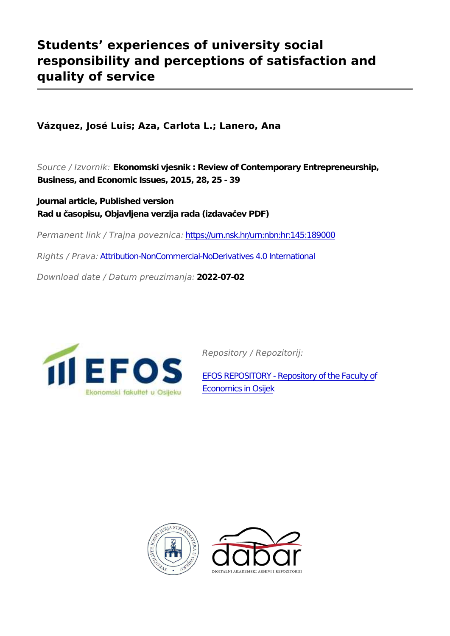## **Students' experiences of university social responsibility and perceptions of satisfaction and quality of service**

**Vázquez, José Luis; Aza, Carlota L.; Lanero, Ana**

*Source / Izvornik:* **Ekonomski vjesnik : Review of Contemporary Entrepreneurship, Business, and Economic Issues, 2015, 28, 25 - 39**

**Journal article, Published version Rad u časopisu, Objavljena verzija rada (izdavačev PDF)**

*Permanent link / Trajna poveznica:* <https://urn.nsk.hr/urn:nbn:hr:145:189000>

*Rights / Prava:* [Attribution-NonCommercial-NoDerivatives 4.0 International](http://creativecommons.org/licenses/by-nc-nd/4.0/)

*Download date / Datum preuzimanja:* **2022-07-02**



*Repository / Repozitorij:*

[EFOS REPOSITORY - Repository of the Faculty o](https://repozitorij.efos.hr)f [Economics in Osijek](https://repozitorij.efos.hr)



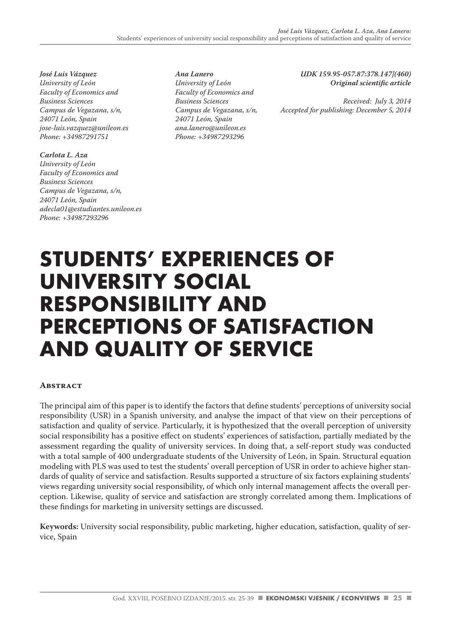*José Luis Vázquez University of León Faculty of Economics and Business Sciences Campus de Vegazana, s/n, 24071 León, Spain jose-luis.vazquez@unileon.es Phone: +34987291751*

*Carlota L. Aza University of León Faculty of Economics and Business Sciences Campus de Vegazana, s/n, 24071 León, Spain adecla01@estudiantes.unileon.es Phone: +34987293296*

*Ana Lanero University of León Faculty of Economics and Business Sciences Campus de Vegazana, s/n, 24071 León, Spain ana.lanero@unileon.es Phone: +34987293296*

*UDK 159.95-057.87:378.147](460) Original scientific article*

*Received: July 3, 2014 Accepted for publishing: December 5, 2014*

# **STUDENTS' EXPERIENCES OF UNIVERSITY SOCIAL RESPONSIBILITY AND PERCEPTIONS OF SATISFACTION AND QUALITY OF SERVICE**

## **Abstract**

The principal aim of this paper is to identify the factors that define students' perceptions of university social responsibility (USR) in a Spanish university, and analyse the impact of that view on their perceptions of satisfaction and quality of service. Particularly, it is hypothesized that the overall perception of university social responsibility has a positive effect on students' experiences of satisfaction, partially mediated by the assessment regarding the quality of university services. In doing that, a self-report study was conducted with a total sample of 400 undergraduate students of the University of León, in Spain. Structural equation modeling with PLS was used to test the students' overall perception of USR in order to achieve higher standards of quality of service and satisfaction. Results supported a structure of six factors explaining students' views regarding university social responsibility, of which only internal management affects the overall perception. Likewise, quality of service and satisfaction are strongly correlated among them. Implications of these findings for marketing in university settings are discussed.

**Keywords:** University social responsibility, public marketing, higher education, satisfaction, quality of service, Spain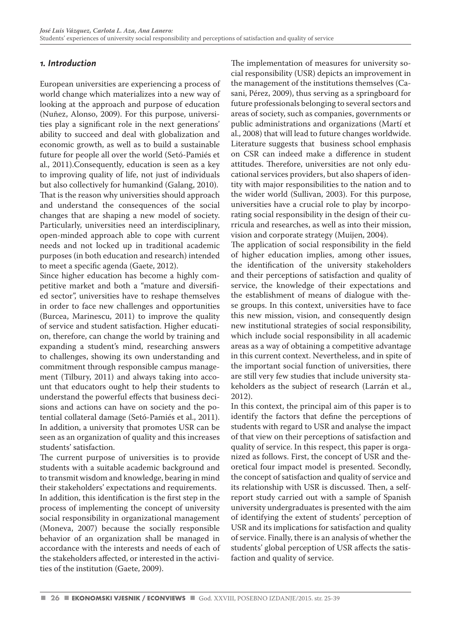## *1. Introduction*

European universities are experiencing a process of world change which materializes into a new way of looking at the approach and purpose of education (Nuñez, Alonso, 2009). For this purpose, universities play a significant role in the next generations' ability to succeed and deal with globalization and economic growth, as well as to build a sustainable future for people all over the world (Setó-Pamiés et al., 2011).Consequently, education is seen as a key to improving quality of life, not just of individuals but also collectively for humankind (Galang, 2010). That is the reason why universities should approach and understand the consequences of the social changes that are shaping a new model of society. Particularly, universities need an interdisciplinary, open-minded approach able to cope with current needs and not locked up in traditional academic purposes (in both education and research) intended to meet a specific agenda (Gaete, 2012).

Since higher education has become a highly competitive market and both a "mature and diversified sector", universities have to reshape themselves in order to face new challenges and opportunities (Burcea, Marinescu, 2011) to improve the quality of service and student satisfaction. Higher education, therefore, can change the world by training and expanding a student's mind, researching answers to challenges, showing its own understanding and commitment through responsible campus management (Tilbury, 2011) and always taking into account that educators ought to help their students to understand the powerful effects that business decisions and actions can have on society and the potential collateral damage (Setó-Pamiés et al., 2011). In addition, a university that promotes USR can be seen as an organization of quality and this increases students' satisfaction.

The current purpose of universities is to provide students with a suitable academic background and to transmit wisdom and knowledge, bearing in mind their stakeholders' expectations and requirements.

In addition, this identification is the first step in the process of implementing the concept of university social responsibility in organizational management (Moneva, 2007) because the socially responsible behavior of an organization shall be managed in accordance with the interests and needs of each of the stakeholders affected, or interested in the activities of the institution (Gaete, 2009).

The implementation of measures for university social responsibility (USR) depicts an improvement in the management of the institutions themselves (Casani, Pérez, 2009), thus serving as a springboard for future professionals belonging to several sectors and areas of society, such as companies, governments or public administrations and organizations (Martí et al., 2008) that will lead to future changes worldwide. Literature suggests that business school emphasis on CSR can indeed make a difference in student attitudes. Therefore, universities are not only educational services providers, but also shapers of identity with major responsibilities to the nation and to the wider world (Sullivan, 2003). For this purpose, universities have a crucial role to play by incorporating social responsibility in the design of their curricula and researches, as well as into their mission, vision and corporate strategy (Muijen, 2004).

The application of social responsibility in the field of higher education implies, among other issues, the identification of the university stakeholders and their perceptions of satisfaction and quality of service, the knowledge of their expectations and the establishment of means of dialogue with these groups. In this context, universities have to face this new mission, vision, and consequently design new institutional strategies of social responsibility, which include social responsibility in all academic areas as a way of obtaining a competitive advantage in this current context. Nevertheless, and in spite of the important social function of universities, there are still very few studies that include university stakeholders as the subject of research (Larrán et al., 2012).

In this context, the principal aim of this paper is to identify the factors that define the perceptions of students with regard to USR and analyse the impact of that view on their perceptions of satisfaction and quality of service. In this respect, this paper is organized as follows. First, the concept of USR and theoretical four impact model is presented. Secondly, the concept of satisfaction and quality of service and its relationship with USR is discussed. Then, a selfreport study carried out with a sample of Spanish university undergraduates is presented with the aim of identifying the extent of students' perception of USR and its implications for satisfaction and quality of service. Finally, there is an analysis of whether the students' global perception of USR affects the satisfaction and quality of service.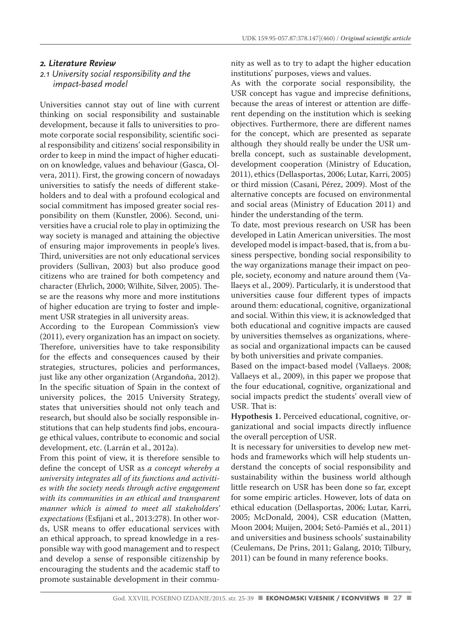#### *2. Literature Review*

## *2.1 University social responsibility and the impact-based model*

Universities cannot stay out of line with current thinking on social responsibility and sustainable development, because it falls to universities to promote corporate social responsibility, scientific social responsibility and citizens' social responsibility in order to keep in mind the impact of higher education on knowledge, values and behaviour (Gasca, Olvera, 2011). First, the growing concern of nowadays universities to satisfy the needs of different stakeholders and to deal with a profound ecological and social commitment has imposed greater social responsibility on them (Kunstler, 2006). Second, universities have a crucial role to play in optimizing the way society is managed and attaining the objective of ensuring major improvements in people's lives. Third, universities are not only educational services providers (Sullivan, 2003) but also produce good citizens who are trained for both competency and character (Ehrlich, 2000; Wilhite, Silver, 2005). These are the reasons why more and more institutions of higher education are trying to foster and implement USR strategies in all university areas.

According to the European Commission's view (2011), every organization has an impact on society. Therefore, universities have to take responsibility for the effects and consequences caused by their strategies, structures, policies and performances, just like any other organization (Argandoña, 2012). In the specific situation of Spain in the context of university polices, the 2015 University Strategy, states that universities should not only teach and research, but should also be socially responsible institutions that can help students find jobs, encourage ethical values, contribute to economic and social development, etc. (Larrán et al., 2012a).

From this point of view, it is therefore sensible to define the concept of USR as *a concept whereby a university integrates all of its functions and activities with the society needs through active engagement with its communities in an ethical and transparent manner which is aimed to meet all stakeholders' expectations* (Esfijani et al., 2013:278). In other words, USR means to offer educational services with an ethical approach, to spread knowledge in a responsible way with good management and to respect and develop a sense of responsible citizenship by encouraging the students and the academic staff to promote sustainable development in their community as well as to try to adapt the higher education institutions' purposes, views and values.

As with the corporate social responsibility, the USR concept has vague and imprecise definitions, because the areas of interest or attention are different depending on the institution which is seeking objectives. Furthermore, there are different names for the concept, which are presented as separate although they should really be under the USR umbrella concept, such as sustainable development, development cooperation (Ministry of Education, 2011), ethics (Dellasportas, 2006; Lutar, Karri, 2005) or third mission (Casani, Pérez, 2009). Most of the alternative concepts are focused on environmental and social areas (Ministry of Education 2011) and hinder the understanding of the term.

To date, most previous research on USR has been developed in Latin American universities. The most developed model is impact-based, that is, from a business perspective, bonding social responsibility to the way organizations manage their impact on people, society, economy and nature around them (Vallaeys et al., 2009). Particularly, it is understood that universities cause four different types of impacts around them: educational, cognitive, organizational and social. Within this view, it is acknowledged that both educational and cognitive impacts are caused by universities themselves as organizations, whereas social and organizational impacts can be caused by both universities and private companies.

Based on the impact-based model (Vallaeys. 2008; Vallaeys et al., 2009), in this paper we propose that the four educational, cognitive, organizational and social impacts predict the students' overall view of USR. That is:

**Hypothesis 1.** Perceived educational, cognitive, organizational and social impacts directly influence the overall perception of USR.

It is necessary for universities to develop new methods and frameworks which will help students understand the concepts of social responsibility and sustainability within the business world although little research on USR has been done so far, except for some empiric articles. However, lots of data on ethical education (Dellasportas, 2006; Lutar, Karri, 2005; McDonald, 2004), CSR education (Matten, Moon 2004; Muijen, 2004; Setó-Pamiés et al., 2011) and universities and business schools' sustainability (Ceulemans, De Prins, 2011; Galang, 2010; Tilbury, 2011) can be found in many reference books.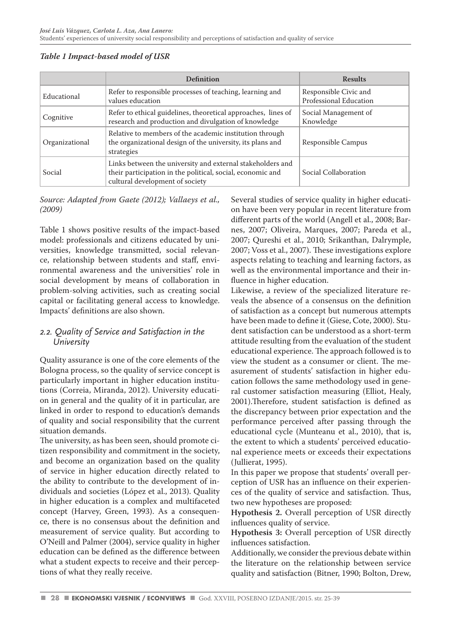## *Table 1 Impact-based model of USR*

|                | <b>Definition</b>                                                                                                                                           | <b>Results</b>                                  |
|----------------|-------------------------------------------------------------------------------------------------------------------------------------------------------------|-------------------------------------------------|
| Educational    | Refer to responsible processes of teaching, learning and<br>values education                                                                                | Responsible Civic and<br>Professional Education |
| Cognitive      | Refer to ethical guidelines, theoretical approaches, lines of<br>research and production and divulgation of knowledge                                       | Social Management of<br>Knowledge               |
| Organizational | Relative to members of the academic institution through<br>the organizational design of the university, its plans and<br>strategies                         | Responsible Campus                              |
| Social         | Links between the university and external stakeholders and<br>their participation in the political, social, economic and<br>cultural development of society | Social Collaboration                            |

## *Source: Adapted from Gaete (2012); Vallaeys et al., (2009)*

Table 1 shows positive results of the impact-based model: professionals and citizens educated by universities, knowledge transmitted, social relevance, relationship between students and staff, environmental awareness and the universities' role in social development by means of collaboration in problem-solving activities, such as creating social capital or facilitating general access to knowledge. Impacts' definitions are also shown.

## *2.2. Quality of Service and Satisfaction in the University*

Quality assurance is one of the core elements of the Bologna process, so the quality of service concept is particularly important in higher education institutions (Correia, Miranda, 2012). University education in general and the quality of it in particular, are linked in order to respond to education's demands of quality and social responsibility that the current situation demands.

The university, as has been seen, should promote citizen responsibility and commitment in the society, and become an organization based on the quality of service in higher education directly related to the ability to contribute to the development of individuals and societies (López et al., 2013). Quality in higher education is a complex and multifaceted concept (Harvey, Green, 1993). As a consequence, there is no consensus about the definition and measurement of service quality. But according to O'Neill and Palmer (2004), service quality in higher education can be defined as the difference between what a student expects to receive and their perceptions of what they really receive.

Several studies of service quality in higher education have been very popular in recent literature from different parts of the world (Angell et al., 2008; Barnes, 2007; Oliveira, Marques, 2007; Pareda et al., 2007; Qureshi et al., 2010; Srikanthan, Dalrymple, 2007; Voss et al., 2007). These investigations explore aspects relating to teaching and learning factors, as well as the environmental importance and their influence in higher education.

Likewise, a review of the specialized literature reveals the absence of a consensus on the definition of satisfaction as a concept but numerous attempts have been made to define it (Giese, Cote, 2000). Student satisfaction can be understood as a short-term attitude resulting from the evaluation of the student educational experience. The approach followed is to view the student as a consumer or client. The measurement of students' satisfaction in higher education follows the same methodology used in general customer satisfaction measuring (Elliot, Healy, 2001).Therefore, student satisfaction is defined as the discrepancy between prior expectation and the performance perceived after passing through the educational cycle (Munteanu et al., 2010), that is, the extent to which a students' perceived educational experience meets or exceeds their expectations (Jullierat, 1995).

In this paper we propose that students' overall perception of USR has an influence on their experiences of the quality of service and satisfaction. Thus, two new hypotheses are proposed:

**Hypothesis 2.** Overall perception of USR directly influences quality of service.

**Hypothesis 3:** Overall perception of USR directly influences satisfaction.

Additionally, we consider the previous debate within the literature on the relationship between service quality and satisfaction (Bitner, 1990; Bolton, Drew,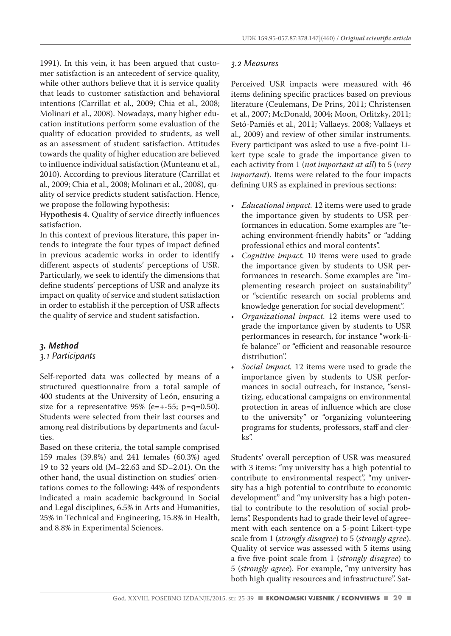1991). In this vein, it has been argued that customer satisfaction is an antecedent of service quality, while other authors believe that it is service quality that leads to customer satisfaction and behavioral intentions (Carrillat et al., 2009; Chia et al., 2008; Molinari et al., 2008). Nowadays, many higher education institutions perform some evaluation of the quality of education provided to students, as well as an assessment of student satisfaction. Attitudes towards the quality of higher education are believed to influence individual satisfaction (Munteanu et al., 2010). According to previous literature (Carrillat et al., 2009; Chia et al., 2008; Molinari et al., 2008), quality of service predicts student satisfaction. Hence, we propose the following hypothesis:

**Hypothesis 4.** Quality of service directly influences satisfaction.

In this context of previous literature, this paper intends to integrate the four types of impact defined in previous academic works in order to identify different aspects of students' perceptions of USR. Particularly, we seek to identify the dimensions that define students' perceptions of USR and analyze its impact on quality of service and student satisfaction in order to establish if the perception of USR affects the quality of service and student satisfaction.

#### *3. Method*

#### *3.1 Participants*

Self-reported data was collected by means of a structured questionnaire from a total sample of 400 students at the University of León, ensuring a size for a representative  $95\%$  (e=+-55; p=q=0.50). Students were selected from their last courses and among real distributions by departments and faculties.

Based on these criteria, the total sample comprised 159 males (39.8%) and 241 females (60.3%) aged 19 to 32 years old (M=22.63 and SD=2.01). On the other hand, the usual distinction on studies' orientations comes to the following: 44% of respondents indicated a main academic background in Social and Legal disciplines, 6.5% in Arts and Humanities, 25% in Technical and Engineering, 15.8% in Health, and 8.8% in Experimental Sciences.

#### *3.2 Measures*

Perceived USR impacts were measured with 46 items defining specific practices based on previous literature (Ceulemans, De Prins, 2011; Christensen et al., 2007; McDonald, 2004; Moon, Orlitzky, 2011; Setó-Pamiés et al., 2011; Vallaeys. 2008; Vallaeys et al., 2009) and review of other similar instruments. Every participant was asked to use a five-point Likert type scale to grade the importance given to each activity from 1 (*not important at all*) to 5 (*very important*). Items were related to the four impacts defining URS as explained in previous sections:

- *• Educational impact.* 12 items were used to grade the importance given by students to USR performances in education. Some examples are "teaching environment-friendly habits" or "adding professional ethics and moral contents".
- *• Cognitive impact.* 10 items were used to grade the importance given by students to USR performances in research. Some examples are "implementing research project on sustainability" or "scientific research on social problems and knowledge generation for social development".
- *• Organizational impact.* 12 items were used to grade the importance given by students to USR performances in research, for instance "work-life balance" or "efficient and reasonable resource distribution".
- *• Social impact.* 12 items were used to grade the importance given by students to USR performances in social outreach, for instance, "sensitizing, educational campaigns on environmental protection in areas of influence which are close to the university" or "organizing volunteering programs for students, professors, staff and clerks".

Students' overall perception of USR was measured with 3 items: "my university has a high potential to contribute to environmental respect", "my university has a high potential to contribute to economic development" and "my university has a high potential to contribute to the resolution of social problems". Respondents had to grade their level of agreement with each sentence on a 5-point Likert-type scale from 1 (*strongly disagree*) to 5 (*strongly agree*). Quality of service was assessed with 5 items using a five five-point scale from 1 (*strongly disagree*) to 5 (*strongly agree*). For example, "my university has both high quality resources and infrastructure". Sat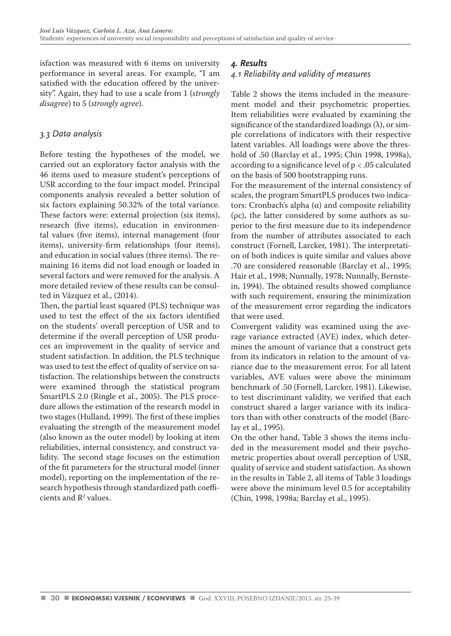isfaction was measured with 6 items on university performance in several areas. For example, "I am satisfied with the education offered by the university". Again, they had to use a scale from 1 (*strongly disagree*) to 5 (*strongly agree*).

## *3.3 Data analysis*

Before testing the hypotheses of the model, we carried out an exploratory factor analysis with the 46 items used to measure student's perceptions of USR according to the four impact model. Principal components analysis revealed a better solution of six factors explaining 50.32% of the total variance. These factors were: external projection (six items), research (five items), education in environmental values (five items), internal management (four items), university-firm relationships (four items), and education in social values (three items). The remaining 16 items did not load enough or loaded in several factors and were removed for the analysis. A more detailed review of these results can be consulted in Vázquez et al., (2014).

Then, the partial least squared (PLS) technique was used to test the effect of the six factors identified on the students' overall perception of USR and to determine if the overall perception of USR produces an improvement in the quality of service and student satisfaction. In addition, the PLS technique was used to test the effect of quality of service on satisfaction. The relationships between the constructs were examined through the statistical program SmartPLS 2.0 (Ringle et al., 2005). The PLS procedure allows the estimation of the research model in two stages (Hulland, 1999). The first of these implies evaluating the strength of the measurement model (also known as the outer model) by looking at item reliabilities, internal consistency, and construct validity. The second stage focuses on the estimation of the fit parameters for the structural model (inner model), reporting on the implementation of the research hypothesis through standardized path coefficients and  $\mathbb{R}^2$  values.

## *4. Results*

## *4.1 Reliability and validity of measures*

Table 2 shows the items included in the measurement model and their psychometric properties. Item reliabilities were evaluated by examining the significance of the standardized loadings  $(\lambda)$ , or simple correlations of indicators with their respective latent variables. All loadings were above the threshold of .50 (Barclay et al., 1995; Chin 1998, 1998a), according to a significance level of p < .05 calculated on the basis of 500 bootstrapping runs.

For the measurement of the internal consistency of scales, the program SmartPLS produces two indicators: Cronbach's alpha (α) and composite reliability (ρc), the latter considered by some authors as superior to the first measure due to its independence from the number of attributes associated to each construct (Fornell, Larcker, 1981). The interpretation of both indices is quite similar and values above .70 are considered reasonable (Barclay et al., 1995; Hair et al., 1998; Nunnally, 1978; Nunnally, Bernstein, 1994). The obtained results showed compliance with such requirement, ensuring the minimization of the measurement error regarding the indicators that were used.

Convergent validity was examined using the average variance extracted (AVE) index, which determines the amount of variance that a construct gets from its indicators in relation to the amount of variance due to the measurement error. For all latent variables, AVE values were above the minimum benchmark of .50 (Fornell, Larcker, 1981). Likewise, to test discriminant validity, we verified that each construct shared a larger variance with its indicators than with other constructs of the model (Barclay et al., 1995).

On the other hand, Table 3 shows the items included in the measurement model and their psychometric properties about overall perception of USR, quality of service and student satisfaction. As shown in the results in Table 2, all items of Table 3 loadings were above the minimum level 0.5 for acceptability (Chin, 1998, 1998a; Barclay et al., 1995).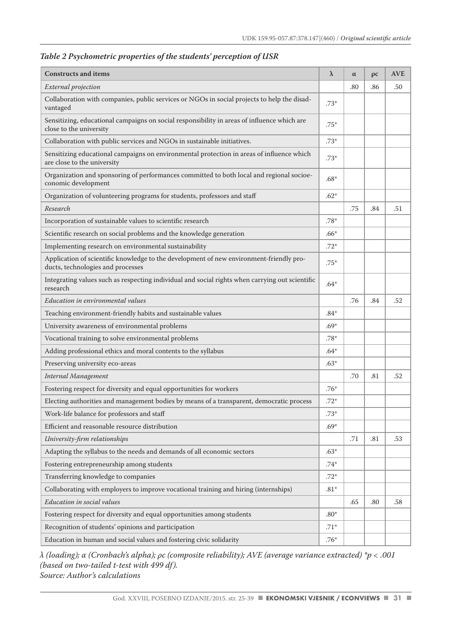| <b>Constructs and items</b>                                                                                                  | λ      | $\alpha$ | $\overline{\rho c}$ | <b>AVE</b> |
|------------------------------------------------------------------------------------------------------------------------------|--------|----------|---------------------|------------|
| External projection                                                                                                          |        | .80      | .86                 | .50        |
| Collaboration with companies, public services or NGOs in social projects to help the disad-<br>vantaged                      | $.73*$ |          |                     |            |
| Sensitizing, educational campaigns on social responsibility in areas of influence which are<br>close to the university       | .75*   |          |                     |            |
| Collaboration with public services and NGOs in sustainable initiatives.                                                      | $.73*$ |          |                     |            |
| Sensitizing educational campaigns on environmental protection in areas of influence which<br>are close to the university     | $.73*$ |          |                     |            |
| Organization and sponsoring of performances committed to both local and regional socioe-<br>conomic development              | $.68*$ |          |                     |            |
| Organization of volunteering programs for students, professors and staff                                                     | $.62*$ |          |                     |            |
| Research                                                                                                                     |        | .75      | .84                 | .51        |
| Incorporation of sustainable values to scientific research                                                                   | $.78*$ |          |                     |            |
| Scientific research on social problems and the knowledge generation                                                          | $.66*$ |          |                     |            |
| Implementing research on environmental sustainability                                                                        | $.72*$ |          |                     |            |
| Application of scientific knowledge to the development of new environment-friendly pro-<br>ducts, technologies and processes | $.75*$ |          |                     |            |
| Integrating values such as respecting individual and social rights when carrying out scientific<br>research                  | $.64*$ |          |                     |            |
| Education in environmental values                                                                                            |        | .76      | .84                 | .52        |
| Teaching environment-friendly habits and sustainable values                                                                  | $.84*$ |          |                     |            |
| University awareness of environmental problems                                                                               | $.69*$ |          |                     |            |
| Vocational training to solve environmental problems                                                                          | $.78*$ |          |                     |            |
| Adding professional ethics and moral contents to the syllabus                                                                | $.64*$ |          |                     |            |
| Preserving university eco-areas                                                                                              | $.63*$ |          |                     |            |
| Internal Management                                                                                                          |        | .70      | .81                 | .52        |
| Fostering respect for diversity and equal opportunities for workers                                                          | $.76*$ |          |                     |            |
| Electing authorities and management bodies by means of a transparent, democratic process                                     | $.72*$ |          |                     |            |
| Work-life balance for professors and staff                                                                                   | $.73*$ |          |                     |            |
| Efficient and reasonable resource distribution                                                                               | $.69*$ |          |                     |            |
| University-firm relationships                                                                                                |        | .71      | .81                 | .53        |
| Adapting the syllabus to the needs and demands of all economic sectors                                                       | $.63*$ |          |                     |            |
| Fostering entrepreneurship among students                                                                                    | $.74*$ |          |                     |            |
| Transferring knowledge to companies                                                                                          | $.72*$ |          |                     |            |
| Collaborating with employers to improve vocational training and hiring (internships)                                         | $.81*$ |          |                     |            |
| Education in social values                                                                                                   |        | .65      | .80                 | .58        |
| Fostering respect for diversity and equal opportunities among students                                                       |        |          |                     |            |
| Recognition of students' opinions and participation                                                                          | .71*   |          |                     |            |
| Education in human and social values and fostering civic solidarity                                                          | $.76*$ |          |                     |            |

## *Table 2 Psychometric properties of the students' perception of USR*

*λ (loading); α (Cronbach's alpha); ρc (composite reliability); AVE (average variance extracted) \*p < .001 (based on two-tailed t-test with 499 df). Source: Author's calculations*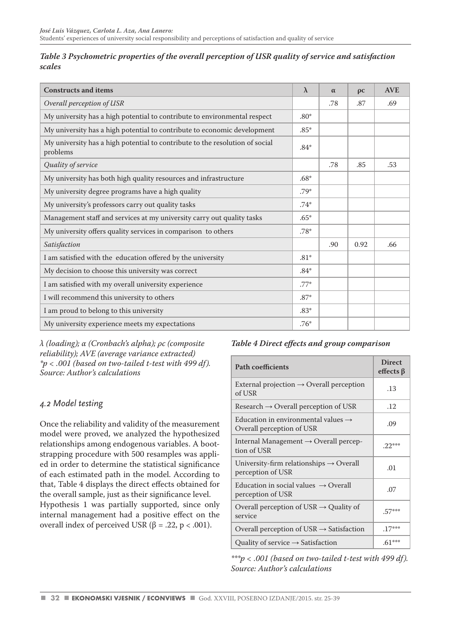| Table 3 Psychometric properties of the overall perception of USR quality of service and satisfaction |  |
|------------------------------------------------------------------------------------------------------|--|
| scales                                                                                               |  |

| <b>Constructs and items</b>                                                              |  | $\alpha$ | $\rho c$ | <b>AVE</b> |
|------------------------------------------------------------------------------------------|--|----------|----------|------------|
| Overall perception of USR                                                                |  | .78      | .87      | .69        |
| My university has a high potential to contribute to environmental respect                |  |          |          |            |
| My university has a high potential to contribute to economic development                 |  |          |          |            |
| My university has a high potential to contribute to the resolution of social<br>problems |  |          |          |            |
| Quality of service                                                                       |  | .78      | .85      | .53        |
| My university has both high quality resources and infrastructure                         |  |          |          |            |
| My university degree programs have a high quality                                        |  |          |          |            |
| My university's professors carry out quality tasks                                       |  |          |          |            |
| Management staff and services at my university carry out quality tasks                   |  |          |          |            |
| My university offers quality services in comparison to others                            |  |          |          |            |
| Satisfaction                                                                             |  | .90      | 0.92     | .66        |
| I am satisfied with the education offered by the university                              |  |          |          |            |
| My decision to choose this university was correct                                        |  |          |          |            |
| I am satisfied with my overall university experience                                     |  |          |          |            |
| I will recommend this university to others                                               |  |          |          |            |
| I am proud to belong to this university                                                  |  |          |          |            |
| My university experience meets my expectations                                           |  |          |          |            |

*λ (loading); α (Cronbach's alpha); ρc (composite reliability); AVE (average variance extracted) \*p < .001 (based on two-tailed t-test with 499 df). Source: Author's calculations* 

## *4.2 Model testing*

Once the reliability and validity of the measurement model were proved, we analyzed the hypothesized relationships among endogenous variables. A bootstrapping procedure with 500 resamples was applied in order to determine the statistical significance of each estimated path in the model. According to that, Table 4 displays the direct effects obtained for the overall sample, just as their significance level.

Hypothesis 1 was partially supported, since only internal management had a positive effect on the overall index of perceived USR ( $β = .22$ ,  $p < .001$ ).

## *Table 4 Direct effects and group comparison*

| <b>Path coefficients</b>                                                     | <b>Direct</b><br>effects $\beta$ |
|------------------------------------------------------------------------------|----------------------------------|
| External projection $\rightarrow$ Overall perception<br>of USR               | .13                              |
| Research $\rightarrow$ Overall perception of USR                             | .12                              |
| Education in environmental values $\rightarrow$<br>Overall perception of USR | .09                              |
| Internal Management $\rightarrow$ Overall percep-<br>tion of USR             | $.22***$                         |
| University-firm relationships $\rightarrow$ Overall<br>perception of USR     | .01                              |
| Education in social values $\rightarrow$ Overall<br>perception of USR        | .07                              |
| Overall perception of USR $\rightarrow$ Quality of<br>service                | $.57***$                         |
| Overall perception of USR $\rightarrow$ Satisfaction                         | $.17***$                         |
| Quality of service $\rightarrow$ Satisfaction                                | $.61***$                         |

*\*\*\*p < .001 (based on two-tailed t-test with 499 df). Source: Author's calculations*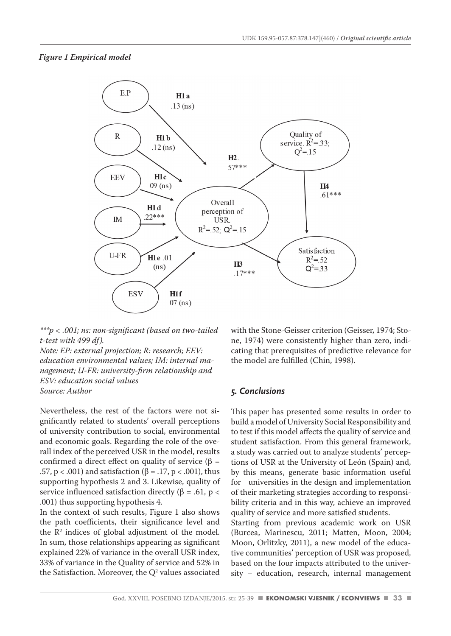#### *Figure 1 Empirical model*



*\*\*\*p < .001; ns: non-significant (based on two-tailed t-test with 499 df).*

*Note: EP: external projection; R: research; EEV: education environmental values; IM: internal management; U-FR: university-firm relationship and ESV: education social values Source: Author*

Nevertheless, the rest of the factors were not significantly related to students' overall perceptions of university contribution to social, environmental and economic goals. Regarding the role of the overall index of the perceived USR in the model, results confirmed a direct effect on quality of service (β = .57, p < .001) and satisfaction (β = .17, p < .001), thus supporting hypothesis 2 and 3. Likewise, quality of service influenced satisfaction directly ( $\beta$  = .61, p < .001) thus supporting hypothesis 4.

In the context of such results, Figure 1 also shows the path coefficients, their significance level and the  $\mathbb{R}^2$  indices of global adjustment of the model. In sum, those relationships appearing as significant explained 22% of variance in the overall USR index, 33% of variance in the Quality of service and 52% in the Satisfaction. Moreover, the  $Q^2$  values associated with the Stone-Geisser criterion (Geisser, 1974; Stone, 1974) were consistently higher than zero, indicating that prerequisites of predictive relevance for the model are fulfilled (Chin, 1998).

#### *5. Conclusions*

This paper has presented some results in order to build a model of University Social Responsibility and to test if this model affects the quality of service and student satisfaction. From this general framework, a study was carried out to analyze students' perceptions of USR at the University of León (Spain) and, by this means, generate basic information useful for universities in the design and implementation of their marketing strategies according to responsibility criteria and in this way, achieve an improved quality of service and more satisfied students.

Starting from previous academic work on USR (Burcea, Marinescu, 2011; Matten, Moon, 2004; Moon, Orlitzky, 2011), a new model of the educative communities' perception of USR was proposed, based on the four impacts attributed to the university − education, research, internal management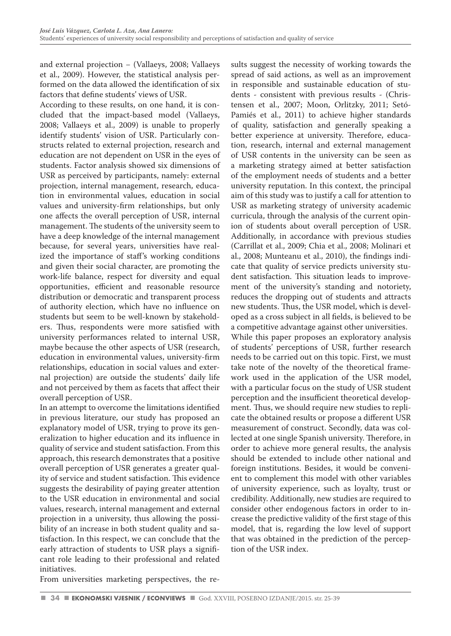and external projection − (Vallaeys, 2008; Vallaeys et al., 2009). However, the statistical analysis performed on the data allowed the identification of six factors that define students' views of USR.

According to these results, on one hand, it is concluded that the impact-based model (Vallaeys, 2008; Vallaeys et al., 2009) is unable to properly identify students' vision of USR. Particularly constructs related to external projection, research and education are not dependent on USR in the eyes of students. Factor analysis showed six dimensions of USR as perceived by participants, namely: external projection, internal management, research, education in environmental values, education in social values and university-firm relationships, but only one affects the overall perception of USR, internal management. The students of the university seem to have a deep knowledge of the internal management because, for several years, universities have realized the importance of staff's working conditions and given their social character, are promoting the work-life balance, respect for diversity and equal opportunities, efficient and reasonable resource distribution or democratic and transparent process of authority election, which have no influence on students but seem to be well-known by stakeholders. Thus, respondents were more satisfied with university performances related to internal USR, maybe because the other aspects of USR (research, education in environmental values, university-firm relationships, education in social values and external projection) are outside the students' daily life and not perceived by them as facets that affect their overall perception of USR.

In an attempt to overcome the limitations identified in previous literature, our study has proposed an explanatory model of USR, trying to prove its generalization to higher education and its influence in quality of service and student satisfaction. From this approach, this research demonstrates that a positive overall perception of USR generates a greater quality of service and student satisfaction. This evidence suggests the desirability of paying greater attention to the USR education in environmental and social values, research, internal management and external projection in a university, thus allowing the possibility of an increase in both student quality and satisfaction. In this respect, we can conclude that the early attraction of students to USR plays a significant role leading to their professional and related initiatives.

sults suggest the necessity of working towards the spread of said actions, as well as an improvement in responsible and sustainable education of students - consistent with previous results - (Christensen et al., 2007; Moon, Orlitzky, 2011; Setó-Pamiés et al., 2011) to achieve higher standards of quality, satisfaction and generally speaking a better experience at university. Therefore, education, research, internal and external management of USR contents in the university can be seen as a marketing strategy aimed at better satisfaction of the employment needs of students and a better university reputation. In this context, the principal aim of this study was to justify a call for attention to USR as marketing strategy of university academic curricula, through the analysis of the current opinion of students about overall perception of USR. Additionally, in accordance with previous studies (Carrillat et al., 2009; Chia et al., 2008; Molinari et al., 2008; Munteanu et al., 2010), the findings indicate that quality of service predicts university student satisfaction. This situation leads to improvement of the university's standing and notoriety, reduces the dropping out of students and attracts new students. Thus, the USR model, which is developed as a cross subject in all fields, is believed to be a competitive advantage against other universities. While this paper proposes an exploratory analysis of students' perceptions of USR, further research needs to be carried out on this topic. First, we must take note of the novelty of the theoretical framework used in the application of the USR model, with a particular focus on the study of USR student perception and the insufficient theoretical development. Thus, we should require new studies to replicate the obtained results or propose a different USR measurement of construct. Secondly, data was collected at one single Spanish university. Therefore, in order to achieve more general results, the analysis should be extended to include other national and foreign institutions. Besides, it would be convenient to complement this model with other variables of university experience, such as loyalty, trust or credibility. Additionally, new studies are required to consider other endogenous factors in order to increase the predictive validity of the first stage of this model, that is, regarding the low level of support that was obtained in the prediction of the perception of the USR index.

From universities marketing perspectives, the re-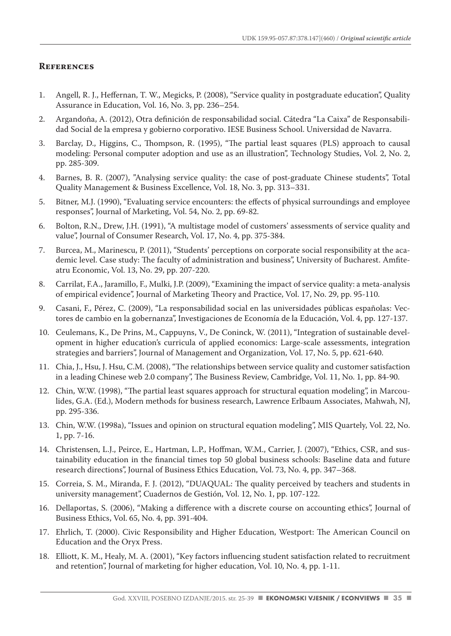#### **References**

- 1. Angell, R. J., Heffernan, T. W., Megicks, P. (2008), "Service quality in postgraduate education", Quality Assurance in Education, Vol. 16, No. 3, pp. 236–254.
- 2. Argandoña, A. (2012), Otra definición de responsabilidad social. Cátedra "La Caixa" de Responsabilidad Social de la empresa y gobierno corporativo. IESE Business School. Universidad de Navarra.
- 3. Barclay, D., Higgins, C., Thompson, R. (1995), "The partial least squares (PLS) approach to causal modeling: Personal computer adoption and use as an illustration", Technology Studies, Vol. 2, No. 2, pp. 285-309.
- 4. Barnes, B. R. (2007), "Analysing service quality: the case of post-graduate Chinese students", Total Quality Management & Business Excellence, Vol. 18, No. 3, pp. 313–331.
- 5. Bitner, M.J. (1990), "Evaluating service encounters: the effects of physical surroundings and employee responses", Journal of Marketing, Vol. 54, No. 2, pp. 69-82.
- 6. Bolton, R.N., Drew, J.H. (1991), "A multistage model of customers' assessments of service quality and value", Journal of Consumer Research, Vol. 17, No. 4, pp. 375-384.
- 7. Burcea, M., Marinescu, P. (2011), "Students' perceptions on corporate social responsibility at the academic level. Case study: The faculty of administration and business", University of Bucharest. Amfiteatru Economic, Vol. 13, No. 29, pp. 207-220.
- 8. Carrilat, F.A., Jaramillo, F., Mulki, J.P. (2009), "Examining the impact of service quality: a meta-analysis of empirical evidence", Journal of Marketing Theory and Practice, Vol. 17, No. 29, pp. 95-110.
- 9. Casani, F., Pérez, C. (2009), "La responsabilidad social en las universidades públicas españolas: Vectores de cambio en la gobernanza", Investigaciones de Economía de la Educación, Vol. 4, pp. 127-137.
- 10. Ceulemans, K., De Prins, M., Cappuyns, V., De Coninck, W. (2011), "Integration of sustainable development in higher education's curricula of applied economics: Large-scale assessments, integration strategies and barriers", Journal of Management and Organization, Vol. 17, No. 5, pp. 621-640.
- 11. Chia, J., Hsu, J. Hsu, C.M. (2008), "The relationships between service quality and customer satisfaction in a leading Chinese web 2.0 company", The Business Review, Cambridge, Vol. 11, No. 1, pp. 84-90.
- 12. Chin, W.W. (1998), "The partial least squares approach for structural equation modeling", in Marcoulides, G.A. (Ed.), Modern methods for business research, Lawrence Erlbaum Associates, Mahwah, NJ, pp. 295-336.
- 13. Chin, W.W. (1998a), "Issues and opinion on structural equation modeling", MIS Quartely, Vol. 22, No. 1, pp. 7-16.
- 14. Christensen, L.J., Peirce, E., Hartman, L.P., Hoffman, W.M., Carrier, J. (2007), "Ethics, CSR, and sustainability education in the financial times top 50 global business schools: Baseline data and future research directions", Journal of Business Ethics Education, Vol. 73, No. 4, pp. 347–368.
- 15. Correia, S. M., Miranda, F. J. (2012), "DUAQUAL: The quality perceived by teachers and students in university management", Cuadernos de Gestión, Vol. 12, No. 1, pp. 107-122.
- 16. Dellaportas, S. (2006), "Making a difference with a discrete course on accounting ethics", Journal of Business Ethics, Vol. 65, No. 4, pp. 391-404.
- 17. Ehrlich, T. (2000). Civic Responsibility and Higher Education, Westport: The American Council on Education and the Oryx Press.
- 18. Elliott, K. M., Healy, M. A. (2001), "Key factors influencing student satisfaction related to recruitment and retention", Journal of marketing for higher education, Vol. 10, No. 4, pp. 1-11.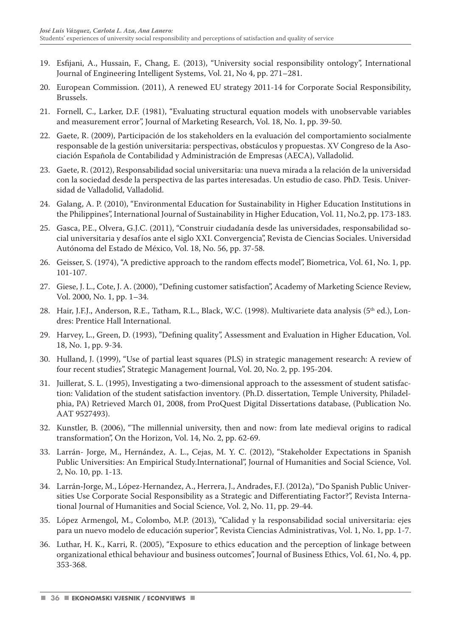- 19. Esfijani, A., Hussain, F., Chang, E. (2013), "University social responsibility ontology", International Journal of Engineering Intelligent Systems, Vol. 21, No 4, pp. 271–281.
- 20. European Commission. (2011), A renewed EU strategy 2011-14 for Corporate Social Responsibility, Brussels.
- 21. Fornell, C., Larker, D.F. (1981), "Evaluating structural equation models with unobservable variables and measurement error", Journal of Marketing Research, Vol. 18, No. 1, pp. 39-50.
- 22. Gaete, R. (2009), Participación de los stakeholders en la evaluación del comportamiento socialmente responsable de la gestión universitaria: perspectivas, obstáculos y propuestas. XV Congreso de la Asociación Española de Contabilidad y Administración de Empresas (AECA), Valladolid.
- 23. Gaete, R. (2012), Responsabilidad social universitaria: una nueva mirada a la relación de la universidad con la sociedad desde la perspectiva de las partes interesadas. Un estudio de caso. PhD. Tesis. Universidad de Valladolid, Valladolid.
- 24. Galang, A. P. (2010), "Environmental Education for Sustainability in Higher Education Institutions in the Philippines", International Journal of Sustainability in Higher Education, Vol. 11, No.2, pp. 173-183.
- 25. Gasca, P.E., Olvera, G.J.C. (2011), "Construir ciudadanía desde las universidades, responsabilidad social universitaria y desafíos ante el siglo XXI. Convergencia", Revista de Ciencias Sociales. Universidad Autónoma del Estado de México, Vol. 18, No. 56, pp. 37-58.
- 26. Geisser, S. (1974), "A predictive approach to the random effects model", Biometrica, Vol. 61, No. 1, pp. 101-107.
- 27. Giese, J. L., Cote, J. A. (2000), "Defining customer satisfaction", Academy of Marketing Science Review, Vol. 2000, No. 1, pp. 1–34.
- 28. Hair, J.F.J., Anderson, R.E., Tatham, R.L., Black, W.C. (1998). Multivariete data analysis (5<sup>th</sup> ed.), Londres: Prentice Hall International.
- 29. Harvey, L., Green, D. (1993), "Defining quality", Assessment and Evaluation in Higher Education, Vol. 18, No. 1, pp. 9-34.
- 30. Hulland, J. (1999), "Use of partial least squares (PLS) in strategic management research: A review of four recent studies", Strategic Management Journal, Vol. 20, No. 2, pp. 195-204.
- 31. Juillerat, S. L. (1995), Investigating a two-dimensional approach to the assessment of student satisfaction: Validation of the student satisfaction inventory. (Ph.D. dissertation, Temple University, Philadelphia, PA) Retrieved March 01, 2008, from ProQuest Digital Dissertations database, (Publication No. AAT 9527493).
- 32. Kunstler, B. (2006), "The millennial university, then and now: from late medieval origins to radical transformation", On the Horizon, Vol. 14, No. 2, pp. 62-69.
- 33. Larrán- Jorge, M., Hernández, A. L., Cejas, M. Y. C. (2012), "Stakeholder Expectations in Spanish Public Universities: An Empirical Study.International", Journal of Humanities and Social Science, Vol. 2, No. 10, pp. 1-13.
- 34. Larrán-Jorge, M., López-Hernandez, A., Herrera, J., Andrades, F.J. (2012a), "Do Spanish Public Universities Use Corporate Social Responsibility as a Strategic and Differentiating Factor?", Revista International Journal of Humanities and Social Science, Vol. 2, No. 11, pp. 29-44.
- 35. López Armengol, M., Colombo, M.P. (2013), "Calidad y la responsabilidad social universitaria: ejes para un nuevo modelo de educación superior", Revista Ciencias Administrativas, Vol. 1, No. 1, pp. 1-7.
- 36. Luthar, H. K., Karri, R. (2005), "Exposure to ethics education and the perception of linkage between organizational ethical behaviour and business outcomes", Journal of Business Ethics, Vol. 61, No. 4, pp. 353-368.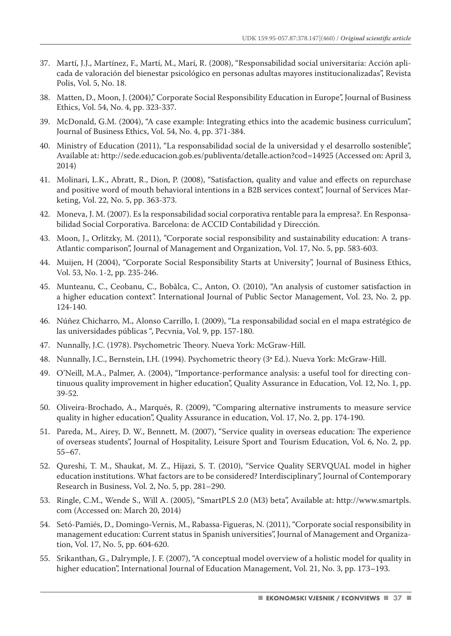- 37. Martí, J.J., Martínez, F., Martí, M., Marí, R. (2008), "Responsabilidad social universitaria: Acción aplicada de valoración del bienestar psicológico en personas adultas mayores institucionalizadas", Revista Polis, Vol. 5, No. 18.
- 38. Matten, D., Moon, J. (2004)," Corporate Social Responsibility Education in Europe", Journal of Business Ethics, Vol. 54, No. 4, pp. 323-337.
- 39. McDonald, G.M. (2004), "A case example: Integrating ethics into the academic business curriculum", Journal of Business Ethics, Vol. 54, No. 4, pp. 371-384.
- 40. Ministry of Education (2011), "La responsabilidad social de la universidad y el desarrollo sostenible", Available at: http://sede.educacion.gob.es/publiventa/detalle.action?cod=14925 (Accessed on: April 3, 2014)
- 41. Molinari, L.K., Abratt, R., Dion, P. (2008), "Satisfaction, quality and value and effects on repurchase and positive word of mouth behavioral intentions in a B2B services context", Journal of Services Marketing, Vol. 22, No. 5, pp. 363-373.
- 42. Moneva, J. M. (2007). Es la responsabilidad social corporativa rentable para la empresa?. En Responsabilidad Social Corporativa. Barcelona: de ACCID Contabilidad y Dirección.
- 43. Moon, J., Orlitzky, M. (2011), "Corporate social responsibility and sustainability education: A trans-Atlantic comparison", Journal of Management and Organization, Vol. 17, No. 5, pp. 583-603.
- 44. Muijen, H (2004), "Corporate Social Responsibility Starts at University", Journal of Business Ethics, Vol. 53, No. 1-2, pp. 235-246.
- 45. Munteanu, C., Ceobanu, C., Bobâlca, C., Anton, O. (2010), "An analysis of customer satisfaction in a higher education context". International Journal of Public Sector Management, Vol. 23, No. 2, pp. 124-140.
- 46. Núñez Chicharro, M., Alonso Carrillo, I. (2009), "La responsabilidad social en el mapa estratégico de las universidades públicas ", Pecvnia, Vol. 9, pp. 157-180.
- 47. Nunnally, J.C. (1978). Psychometric Theory. Nueva York: McGraw-Hill.
- 48. Nunnally, J.C., Bernstein, I.H. (1994). Psychometric theory (3ª Ed.). Nueva York: McGraw-Hill.
- 49. O'Neill, M.A., Palmer, A. (2004), "Importance-performance analysis: a useful tool for directing continuous quality improvement in higher education", Quality Assurance in Education, Vol. 12, No. 1, pp. 39-52.
- 50. Oliveira-Brochado, A., Marqués, R. (2009), "Comparing alternative instruments to measure service quality in higher education", Quality Assurance in education, Vol. 17, No. 2, pp. 174-190.
- 51. Pareda, M., Airey, D. W., Bennett, M. (2007), "Service quality in overseas education: The experience of overseas students", Journal of Hospitality, Leisure Sport and Tourism Education, Vol. 6, No. 2, pp. 55–67.
- 52. Qureshi, T. M., Shaukat, M. Z., Hijazi, S. T. (2010), "Service Quality SERVQUAL model in higher education institutions. What factors are to be considered? Interdisciplinary", Journal of Contemporary Research in Business, Vol. 2, No. 5, pp. 281–290.
- 53. Ringle, C.M., Wende S., Will A. (2005), "SmartPLS 2.0 (M3) beta", Available at: http://www.smartpls. com (Accessed on: March 20, 2014)
- 54. Setó-Pamiés, D., Domingo-Vernis, M., Rabassa-Figueras, N. (2011), "Corporate social responsibility in management education: Current status in Spanish universities", Journal of Management and Organization, Vol. 17, No. 5, pp. 604-620.
- 55. Srikanthan, G., Dalrymple, J. F. (2007), "A conceptual model overview of a holistic model for quality in higher education", International Journal of Education Management, Vol. 21, No. 3, pp. 173–193.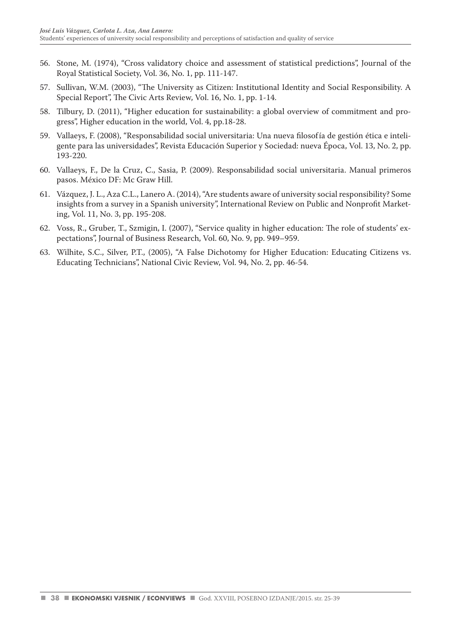- 56. Stone, M. (1974), "Cross validatory choice and assessment of statistical predictions", Journal of the Royal Statistical Society, Vol. 36, No. 1, pp. 111-147.
- 57. Sullivan, W.M. (2003), "The University as Citizen: Institutional Identity and Social Responsibility. A Special Report", The Civic Arts Review, Vol. 16, No. 1, pp. 1-14.
- 58. Tilbury, D. (2011), "Higher education for sustainability: a global overview of commitment and progress", Higher education in the world, Vol. 4, pp.18-28.
- 59. Vallaeys, F. (2008), "Responsabilidad social universitaria: Una nueva filosofía de gestión ética e inteligente para las universidades", Revista Educación Superior y Sociedad: nueva Época, Vol. 13, No. 2, pp. 193-220.
- 60. Vallaeys, F., De la Cruz, C., Sasia, P. (2009). Responsabilidad social universitaria. Manual primeros pasos. México DF: Mc Graw Hill.
- 61. Vázquez, J. L., Aza C.L., Lanero A. (2014), "Are students aware of university social responsibility? Some insights from a survey in a Spanish university", International Review on Public and Nonprofit Marketing, Vol. 11, No. 3, pp. 195-208.
- 62. Voss, R., Gruber, T., Szmigin, I. (2007), "Service quality in higher education: The role of students' expectations", Journal of Business Research, Vol. 60, No. 9, pp. 949–959.
- 63. Wilhite, S.C., Silver, P.T., (2005), "A False Dichotomy for Higher Education: Educating Citizens vs. Educating Technicians", National Civic Review, Vol. 94, No. 2, pp. 46-54.